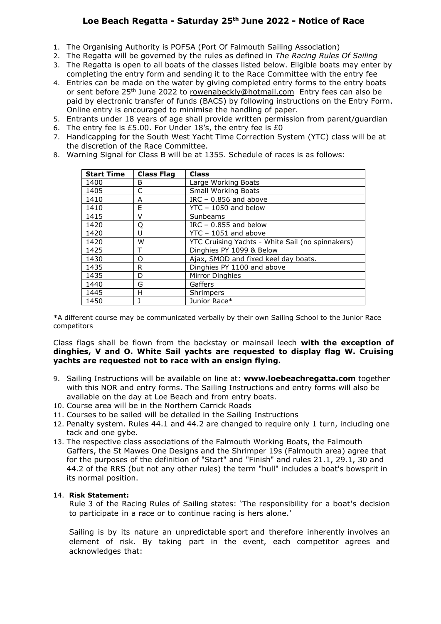## **Loe Beach Regatta - Saturday 25 th June 2022 - Notice of Race**

- 1. The Organising Authority is POFSA (Port Of Falmouth Sailing Association)
- 2. The Regatta will be governed by the rules as defined in *The Racing Rules Of Sailing*
- 3. The Regatta is open to all boats of the classes listed below. Eligible boats may enter by completing the entry form and sending it to the Race Committee with the entry fee
- 4. Entries can be made on the water by giving completed entry forms to the entry boats or sent before 25<sup>th</sup> June 2022 to [rowenabeckly@hotmail.com](mailto:rowenabeckly@hotmail.com) Entry fees can also be paid by electronic transfer of funds (BACS) by following instructions on the Entry Form. Online entry is encouraged to minimise the handling of paper.
- 5. Entrants under 18 years of age shall provide written permission from parent/guardian
- 6. The entry fee is £5.00. For Under 18's, the entry fee is £0
- 7. Handicapping for the South West Yacht Time Correction System (YTC) class will be at the discretion of the Race Committee.
- 8. Warning Signal for Class B will be at 1355. Schedule of races is as follows:

| <b>Start Time</b> | Class Flag | <b>Class</b>                                     |
|-------------------|------------|--------------------------------------------------|
| 1400              | B          | Large Working Boats                              |
| 1405              | C          | <b>Small Working Boats</b>                       |
| 1410              | А          | IRC $-$ 0.856 and above                          |
| 1410              | E          | YTC - 1050 and below                             |
| 1415              | v          | Sunbeams                                         |
| 1420              | Ω          | $IRC - 0.855$ and below                          |
| 1420              | U          | $YTC - 1051$ and above                           |
| 1420              | w          | YTC Cruising Yachts - White Sail (no spinnakers) |
| 1425              | Т          | Dinghies PY 1099 & Below                         |
| 1430              | O          | Ajax, SMOD and fixed keel day boats.             |
| 1435              | R          | Dinghies PY 1100 and above                       |
| 1435              | D          | Mirror Dinghies                                  |
| 1440              | G          | Gaffers                                          |
| 1445              | н          | Shrimpers                                        |
| 1450              |            | Junior Race*                                     |

\*A different course may be communicated verbally by their own Sailing School to the Junior Race competitors

Class flags shall be flown from the backstay or mainsail leech **with the exception of dinghies, V and O. White Sail yachts are requested to display flag W. Cruising yachts are requested not to race with an ensign flying.**

- 9. Sailing Instructions will be available on line at: **www.loebeachregatta.com** together with this NOR and entry forms. The Sailing Instructions and entry forms will also be available on the day at Loe Beach and from entry boats.
- 10. Course area will be in the Northern Carrick Roads
- 11. Courses to be sailed will be detailed in the Sailing Instructions
- 12. Penalty system. Rules 44.1 and 44.2 are changed to require only 1 turn, including one tack and one gybe.
- 13. The respective class associations of the Falmouth Working Boats, the Falmouth Gaffers, the St Mawes One Designs and the Shrimper 19s (Falmouth area) agree that for the purposes of the definition of "Start" and "Finish" and rules 21.1, 29.1, 30 and 44.2 of the RRS (but not any other rules) the term "hull" includes a boat's bowsprit in its normal position.

## 14. **Risk Statement:**

Rule 3 of the Racing Rules of Sailing states: 'The responsibility for a boat's decision to participate in a race or to continue racing is hers alone.'

Sailing is by its nature an unpredictable sport and therefore inherently involves an element of risk. By taking part in the event, each competitor agrees and acknowledges that: